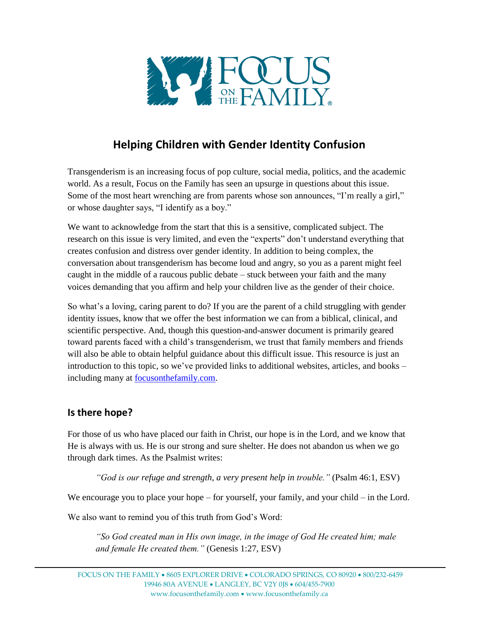

# **Helping Children with Gender Identity Confusion**

Transgenderism is an increasing focus of pop culture, social media, politics, and the academic world. As a result, Focus on the Family has seen an upsurge in questions about this issue. Some of the most heart wrenching are from parents whose son announces, "I'm really a girl," or whose daughter says, "I identify as a boy."

We want to acknowledge from the start that this is a sensitive, complicated subject. The research on this issue is very limited, and even the "experts" don't understand everything that creates confusion and distress over gender identity. In addition to being complex, the conversation about transgenderism has become loud and angry, so you as a parent might feel caught in the middle of a raucous public debate – stuck between your faith and the many voices demanding that you affirm and help your children live as the gender of their choice.

So what's a loving, caring parent to do? If you are the parent of a child struggling with gender identity issues, know that we offer the best information we can from a biblical, clinical, and scientific perspective. And, though this question-and-answer document is primarily geared toward parents faced with a child's transgenderism, we trust that family members and friends will also be able to obtain helpful guidance about this difficult issue. This resource is just an introduction to this topic, so we've provided links to additional websites, articles, and books – including many at [focusonthefamily.com.](http://www.focusonthefamily.com/)

# **Is there hope?**

For those of us who have placed our faith in Christ, our hope is in the Lord, and we know that He is always with us. He is our strong and sure shelter. He does not abandon us when we go through dark times. As the Psalmist writes:

*"God is our refuge and strength, a very present help in trouble."* (Psalm 46:1, ESV)

We encourage you to place your hope – for yourself, your family, and your child – in the Lord.

We also want to remind you of this truth from God's Word:

*"So God created man in His own image, in the image of God He created him; male and female He created them."* (Genesis 1:27, ESV)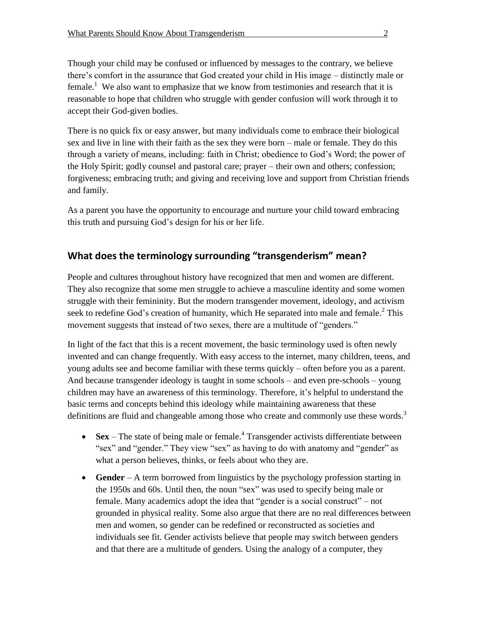Though your child may be confused or influenced by messages to the contrary, we believe there's comfort in the assurance that God created your child in His image – distinctly male or female.<sup>1</sup> We also want to emphasize that we know from testimonies and research that it is reasonable to hope that children who struggle with gender confusion will work through it to accept their God-given bodies.

There is no quick fix or easy answer, but many individuals come to embrace their biological sex and live in line with their faith as the sex they were born – male or female. They do this through a variety of means, including: faith in Christ; obedience to God's Word; the power of the Holy Spirit; godly counsel and pastoral care; prayer – their own and others; confession; forgiveness; embracing truth; and giving and receiving love and support from Christian friends and family.

As a parent you have the opportunity to encourage and nurture your child toward embracing this truth and pursuing God's design for his or her life.

# **What does the terminology surrounding "transgenderism" mean?**

People and cultures throughout history have recognized that men and women are different. They also recognize that some men struggle to achieve a masculine identity and some women struggle with their femininity. But the modern transgender movement, ideology, and activism seek to redefine God's creation of humanity, which He separated into male and female.<sup>2</sup> This movement suggests that instead of two sexes, there are a multitude of "genders."

In light of the fact that this is a recent movement, the basic terminology used is often newly invented and can change frequently. With easy access to the internet, many children, teens, and young adults see and become familiar with these terms quickly – often before you as a parent. And because transgender ideology is taught in some schools – and even pre-schools – young children may have an awareness of this terminology. Therefore, it's helpful to understand the basic terms and concepts behind this ideology while maintaining awareness that these definitions are fluid and changeable among those who create and commonly use these words.<sup>3</sup>

- **Sex** The state of being male or female.<sup>4</sup> Transgender activists differentiate between "sex" and "gender." They view "sex" as having to do with anatomy and "gender" as what a person believes, thinks, or feels about who they are.
- **Gender** A term borrowed from linguistics by the psychology profession starting in the 1950s and 60s. Until then, the noun "sex" was used to specify being male or female. Many academics adopt the idea that "gender is a social construct" – not grounded in physical reality. Some also argue that there are no real differences between men and women, so gender can be redefined or reconstructed as societies and individuals see fit. Gender activists believe that people may switch between genders and that there are a multitude of genders. Using the analogy of a computer, they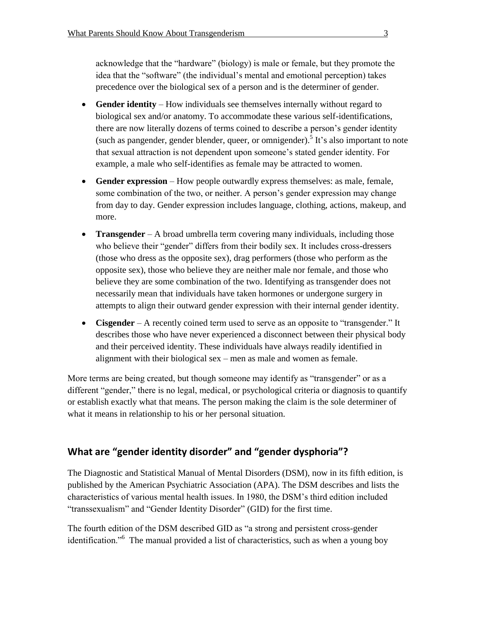acknowledge that the "hardware" (biology) is male or female, but they promote the idea that the "software" (the individual's mental and emotional perception) takes precedence over the biological sex of a person and is the determiner of gender.

- **Gender identity** How individuals see themselves internally without regard to biological sex and/or anatomy. To accommodate these various self-identifications, there are now literally dozens of terms coined to describe a person's gender identity (such as pangender, gender blender, queer, or omnigender).<sup>5</sup> It's also important to note that sexual attraction is not dependent upon someone's stated gender identity. For example, a male who self-identifies as female may be attracted to women.
- **Gender expression** How people outwardly express themselves: as male, female, some combination of the two, or neither. A person's gender expression may change from day to day. Gender expression includes language, clothing, actions, makeup, and more.
- **Transgender** A broad umbrella term covering many individuals, including those who believe their "gender" differs from their bodily sex. It includes cross-dressers (those who dress as the opposite sex), drag performers (those who perform as the opposite sex), those who believe they are neither male nor female, and those who believe they are some combination of the two. Identifying as transgender does not necessarily mean that individuals have taken hormones or undergone surgery in attempts to align their outward gender expression with their internal gender identity.
- **Cisgender** A recently coined term used to serve as an opposite to "transgender." It describes those who have never experienced a disconnect between their physical body and their perceived identity. These individuals have always readily identified in alignment with their biological sex – men as male and women as female.

More terms are being created, but though someone may identify as "transgender" or as a different "gender," there is no legal, medical, or psychological criteria or diagnosis to quantify or establish exactly what that means. The person making the claim is the sole determiner of what it means in relationship to his or her personal situation.

# **What are "gender identity disorder" and "gender dysphoria"?**

The Diagnostic and Statistical Manual of Mental Disorders (DSM), now in its fifth edition, is published by the American Psychiatric Association (APA). The DSM describes and lists the characteristics of various mental health issues. In 1980, the DSM's third edition included "transsexualism" and "Gender Identity Disorder" (GID) for the first time.

The fourth edition of the DSM described GID as "a strong and persistent cross-gender identification."<sup>6</sup> The manual provided a list of characteristics, such as when a young boy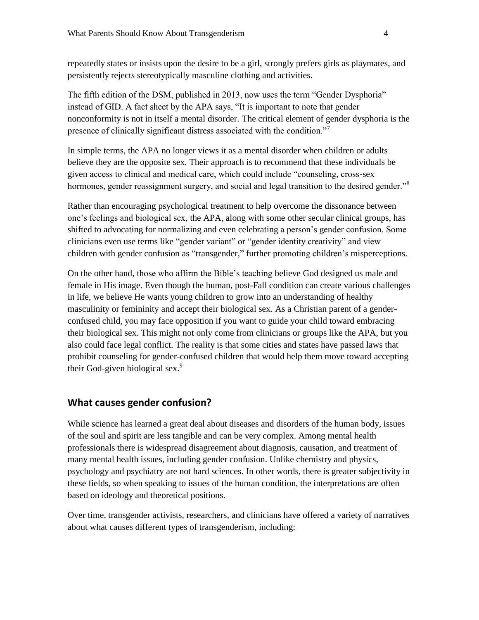repeatedly states or insists upon the desire to be a girl, strongly prefers girls as playmates, and persistently rejects stereotypically masculine clothing and activities.

The fifth edition of the DSM, published in 2013, now uses the term "Gender Dysphoria" instead of GID. A fact sheet by the APA says, "It is important to note that gender nonconformity is not in itself a mental disorder. The critical element of gender dysphoria is the presence of clinically significant distress associated with the condition."<sup>7</sup>

In simple terms, the APA no longer views it as a mental disorder when children or adults believe they are the opposite sex. Their approach is to recommend that these individuals be given access to clinical and medical care, which could include "counseling, cross-sex hormones, gender reassignment surgery, and social and legal transition to the desired gender."<sup>8</sup>

Rather than encouraging psychological treatment to help overcome the dissonance between one's feelings and biological sex, the APA, along with some other secular clinical groups, has shifted to advocating for normalizing and even celebrating a person's gender confusion. Some clinicians even use terms like "gender variant" or "gender identity creativity" and view children with gender confusion as "transgender," further promoting children's misperceptions.

On the other hand, those who affirm the Bible's teaching believe God designed us male and female in His image. Even though the human, post-Fall condition can create various challenges in life, we believe He wants young children to grow into an understanding of healthy masculinity or femininity and accept their biological sex. As a Christian parent of a genderconfused child, you may face opposition if you want to guide your child toward embracing their biological sex. This might not only come from clinicians or groups like the APA, but you also could face legal conflict. The reality is that some cities and states have passed laws that prohibit counseling for gender-confused children that would help them move toward accepting their God-given biological sex.<sup>9</sup>

# **What causes gender confusion?**

While science has learned a great deal about diseases and disorders of the human body, issues of the soul and spirit are less tangible and can be very complex. Among mental health professionals there is widespread disagreement about diagnosis, causation, and treatment of many mental health issues, including gender confusion. Unlike chemistry and physics, psychology and psychiatry are not hard sciences. In other words, there is greater subjectivity in these fields, so when speaking to issues of the human condition, the interpretations are often based on ideology and theoretical positions.

Over time, transgender activists, researchers, and clinicians have offered a variety of narratives about what causes different types of transgenderism, including: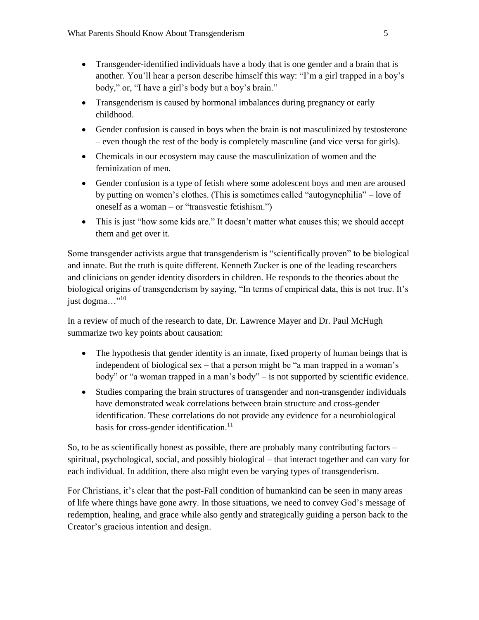- Transgender-identified individuals have a body that is one gender and a brain that is another. You'll hear a person describe himself this way: "I'm a girl trapped in a boy's body," or, "I have a girl's body but a boy's brain."
- Transgenderism is caused by hormonal imbalances during pregnancy or early childhood.
- Gender confusion is caused in boys when the brain is not masculinized by testosterone – even though the rest of the body is completely masculine (and vice versa for girls).
- Chemicals in our ecosystem may cause the masculinization of women and the feminization of men.
- Gender confusion is a type of fetish where some adolescent boys and men are aroused by putting on women's clothes. (This is sometimes called "autogynephilia" – love of oneself as a woman – or "transvestic fetishism.")
- This is just "how some kids are." It doesn't matter what causes this; we should accept them and get over it.

Some transgender activists argue that transgenderism is "scientifically proven" to be biological and innate. But the truth is quite different. Kenneth Zucker is one of the leading researchers and clinicians on gender identity disorders in children. He responds to the theories about the biological origins of transgenderism by saying, "In terms of empirical data, this is not true. It's just dogma..."<sup>10</sup>

In a review of much of the research to date, Dr. Lawrence Mayer and Dr. Paul McHugh summarize two key points about causation:

- The hypothesis that gender identity is an innate, fixed property of human beings that is independent of biological sex – that a person might be "a man trapped in a woman's body" or "a woman trapped in a man's body" – is not supported by scientific evidence.
- Studies comparing the brain structures of transgender and non-transgender individuals have demonstrated weak correlations between brain structure and cross-gender identification. These correlations do not provide any evidence for a neurobiological basis for cross-gender identification.<sup>11</sup>

So, to be as scientifically honest as possible, there are probably many contributing factors – spiritual, psychological, social, and possibly biological – that interact together and can vary for each individual. In addition, there also might even be varying types of transgenderism.

For Christians, it's clear that the post-Fall condition of humankind can be seen in many areas of life where things have gone awry. In those situations, we need to convey God's message of redemption, healing, and grace while also gently and strategically guiding a person back to the Creator's gracious intention and design.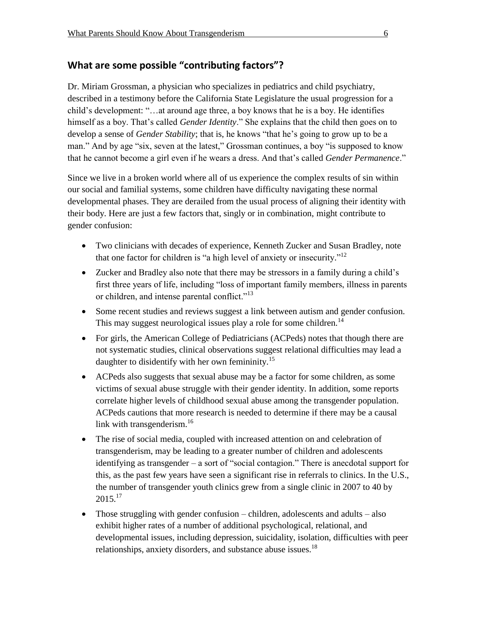# **What are some possible "contributing factors"?**

Dr. Miriam Grossman, a physician who specializes in pediatrics and child psychiatry, described in a testimony before the California State Legislature the usual progression for a child's development: "…at around age three, a boy knows that he is a boy. He identifies himself as a boy. That's called *Gender Identity*." She explains that the child then goes on to develop a sense of *Gender Stability*; that is, he knows "that he's going to grow up to be a man." And by age "six, seven at the latest," Grossman continues, a boy "is supposed to know that he cannot become a girl even if he wears a dress. And that's called *Gender Permanence*."

Since we live in a broken world where all of us experience the complex results of sin within our social and familial systems, some children have difficulty navigating these normal developmental phases. They are derailed from the usual process of aligning their identity with their body. Here are just a few factors that, singly or in combination, might contribute to gender confusion:

- Two clinicians with decades of experience, Kenneth Zucker and Susan Bradley, note that one factor for children is "a high level of anxiety or insecurity."<sup>12</sup>
- Zucker and Bradley also note that there may be stressors in a family during a child's first three years of life, including "loss of important family members, illness in parents or children, and intense parental conflict."<sup>13</sup>
- Some recent studies and reviews suggest a link between autism and gender confusion. This may suggest neurological issues play a role for some children.<sup>14</sup>
- For girls, the American College of Pediatricians (ACPeds) notes that though there are not systematic studies, clinical observations suggest relational difficulties may lead a daughter to disidentify with her own femininity.<sup>15</sup>
- ACPeds also suggests that sexual abuse may be a factor for some children, as some victims of sexual abuse struggle with their gender identity. In addition, some reports correlate higher levels of childhood sexual abuse among the transgender population. ACPeds cautions that more research is needed to determine if there may be a causal link with transgenderism. $16$
- The rise of social media, coupled with increased attention on and celebration of transgenderism, may be leading to a greater number of children and adolescents identifying as transgender – a sort of "social contagion." There is anecdotal support for this, as the past few years have seen a significant rise in referrals to clinics. In the U.S., the number of transgender youth clinics grew from a single clinic in 2007 to 40 by  $2015.<sup>17</sup>$
- Those struggling with gender confusion children, adolescents and adults also exhibit higher rates of a number of additional psychological, relational, and developmental issues, including depression, suicidality, isolation, difficulties with peer relationships, anxiety disorders, and substance abuse issues.<sup>18</sup>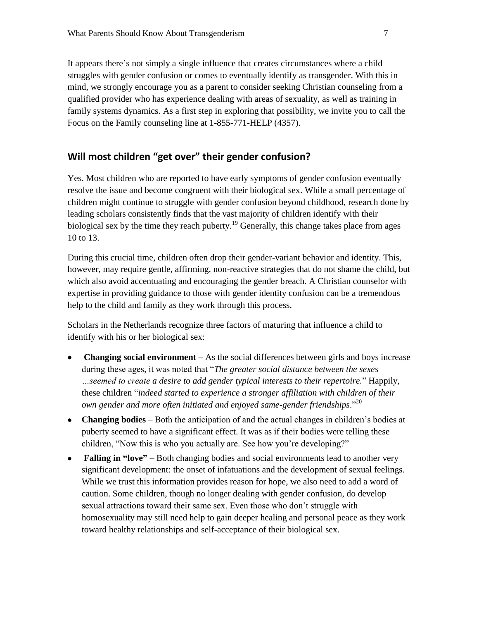It appears there's not simply a single influence that creates circumstances where a child struggles with gender confusion or comes to eventually identify as transgender. With this in mind, we strongly encourage you as a parent to consider seeking Christian counseling from a qualified provider who has experience dealing with areas of sexuality, as well as training in family systems dynamics. As a first step in exploring that possibility, we invite you to call the Focus on the Family counseling line at 1-855-771-HELP (4357).

# **Will most children "get over" their gender confusion?**

Yes. Most children who are reported to have early symptoms of gender confusion eventually resolve the issue and become congruent with their biological sex. While a small percentage of children might continue to struggle with gender confusion beyond childhood, research done by leading scholars consistently finds that the vast majority of children identify with their biological sex by the time they reach puberty.<sup>19</sup> Generally, this change takes place from ages 10 to 13.

During this crucial time, children often drop their gender-variant behavior and identity. This, however, may require gentle, affirming, non-reactive strategies that do not shame the child, but which also avoid accentuating and encouraging the gender breach. A Christian counselor with expertise in providing guidance to those with gender identity confusion can be a tremendous help to the child and family as they work through this process.

Scholars in the Netherlands recognize three factors of maturing that influence a child to identify with his or her biological sex:

- **Changing social environment**  As the social differences between girls and boys increase during these ages, it was noted that "*The greater social distance between the sexes …seemed to create a desire to add gender typical interests to their repertoire.*" Happily, these children "*indeed started to experience a stronger affiliation with children of their own gender and more often initiated and enjoyed same-gender friendships*."<sup>20</sup>
- **Changing bodies** Both the anticipation of and the actual changes in children's bodies at puberty seemed to have a significant effect. It was as if their bodies were telling these children, "Now this is who you actually are. See how you're developing?"
- **Falling in "love"** Both changing bodies and social environments lead to another very significant development: the onset of infatuations and the development of sexual feelings. While we trust this information provides reason for hope, we also need to add a word of caution. Some children, though no longer dealing with gender confusion, do develop sexual attractions toward their same sex. Even those who don't struggle with homosexuality may still need help to gain deeper healing and personal peace as they work toward healthy relationships and self-acceptance of their biological sex.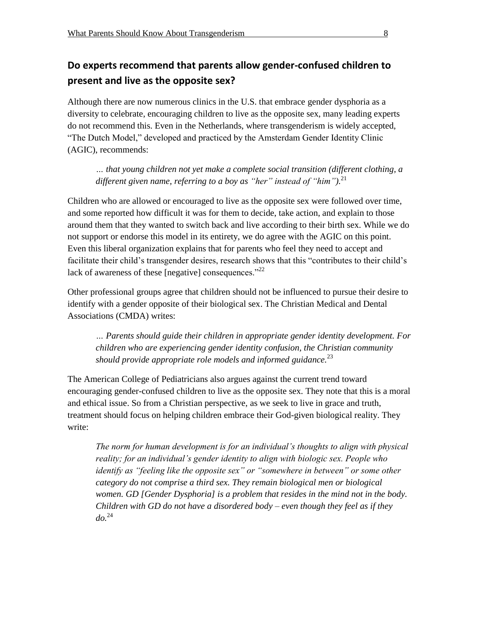# **Do experts recommend that parents allow gender-confused children to present and live as the opposite sex?**

Although there are now numerous clinics in the U.S. that embrace gender dysphoria as a diversity to celebrate, encouraging children to live as the opposite sex, many leading experts do not recommend this. Even in the Netherlands, where transgenderism is widely accepted, "The Dutch Model," developed and practiced by the Amsterdam Gender Identity Clinic (AGIC), recommends:

*… that young children not yet make a complete social transition (different clothing, a different given name, referring to a boy as "her" instead of "him").*<sup>21</sup>

Children who are allowed or encouraged to live as the opposite sex were followed over time, and some reported how difficult it was for them to decide, take action, and explain to those around them that they wanted to switch back and live according to their birth sex. While we do not support or endorse this model in its entirety, we do agree with the AGIC on this point. Even this liberal organization explains that for parents who feel they need to accept and facilitate their child's transgender desires, research shows that this "contributes to their child's lack of awareness of these [negative] consequences."<sup>22</sup>

Other professional groups agree that children should not be influenced to pursue their desire to identify with a gender opposite of their biological sex. The Christian Medical and Dental Associations (CMDA) writes:

*… Parents should guide their children in appropriate gender identity development. For children who are experiencing gender identity confusion, the Christian community should provide appropriate role models and informed guidance.*<sup>23</sup>

The American College of Pediatricians also argues against the current trend toward encouraging gender-confused children to live as the opposite sex. They note that this is a moral and ethical issue. So from a Christian perspective, as we seek to live in grace and truth, treatment should focus on helping children embrace their God-given biological reality. They write:

*The norm for human development is for an individual's thoughts to align with physical reality; for an individual's gender identity to align with biologic sex. People who identify as "feeling like the opposite sex" or "somewhere in between" or some other category do not comprise a third sex. They remain biological men or biological women. GD [Gender Dysphoria] is a problem that resides in the mind not in the body. Children with GD do not have a disordered body – even though they feel as if they do.* 24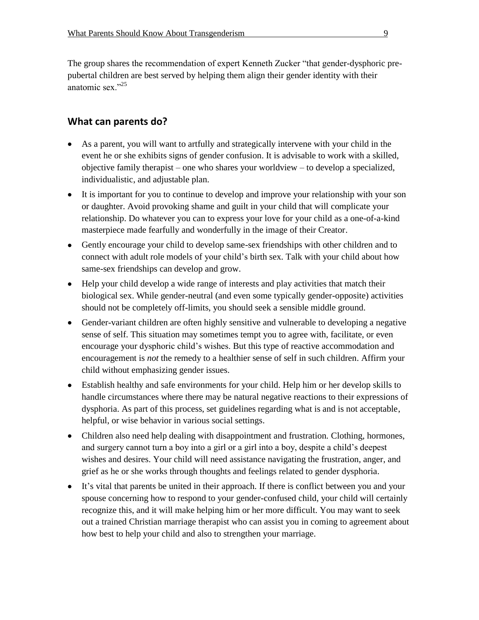The group shares the recommendation of expert Kenneth Zucker "that gender-dysphoric prepubertal children are best served by helping them align their gender identity with their anatomic sex."<sup>25</sup>

### **What can parents do?**

- As a parent, you will want to artfully and strategically intervene with your child in the event he or she exhibits signs of gender confusion. It is advisable to work with a skilled, objective family therapist – one who shares your worldview – to develop a specialized, individualistic, and adjustable plan.
- It is important for you to continue to develop and improve your relationship with your son or daughter. Avoid provoking shame and guilt in your child that will complicate your relationship. Do whatever you can to express your love for your child as a one-of-a-kind masterpiece made fearfully and wonderfully in the image of their Creator.
- Gently encourage your child to develop same-sex friendships with other children and to connect with adult role models of your child's birth sex. Talk with your child about how same-sex friendships can develop and grow.
- Help your child develop a wide range of interests and play activities that match their biological sex. While gender-neutral (and even some typically gender-opposite) activities should not be completely off-limits, you should seek a sensible middle ground.
- Gender-variant children are often highly sensitive and vulnerable to developing a negative sense of self. This situation may sometimes tempt you to agree with, facilitate, or even encourage your dysphoric child's wishes. But this type of reactive accommodation and encouragement is *not* the remedy to a healthier sense of self in such children. Affirm your child without emphasizing gender issues.
- Establish healthy and safe environments for your child. Help him or her develop skills to handle circumstances where there may be natural negative reactions to their expressions of dysphoria. As part of this process, set guidelines regarding what is and is not acceptable, helpful, or wise behavior in various social settings.
- Children also need help dealing with disappointment and frustration. Clothing, hormones, and surgery cannot turn a boy into a girl or a girl into a boy, despite a child's deepest wishes and desires. Your child will need assistance navigating the frustration, anger, and grief as he or she works through thoughts and feelings related to gender dysphoria.
- It's vital that parents be united in their approach. If there is conflict between you and your spouse concerning how to respond to your gender-confused child, your child will certainly recognize this, and it will make helping him or her more difficult. You may want to seek out a trained Christian marriage therapist who can assist you in coming to agreement about how best to help your child and also to strengthen your marriage.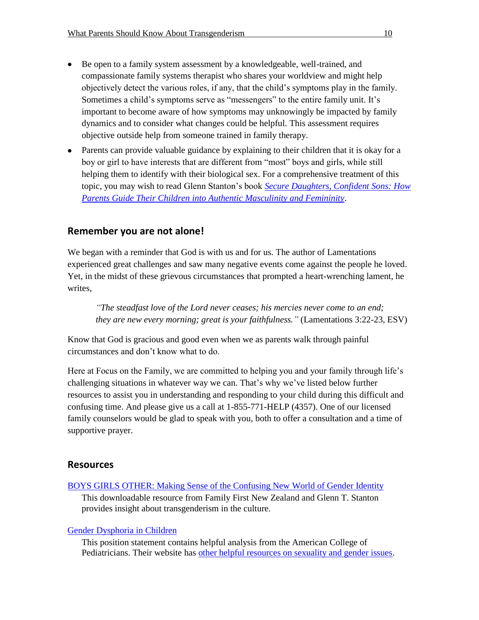- Be open to a family system assessment by a knowledgeable, well-trained, and compassionate family systems therapist who shares your worldview and might help objectively detect the various roles, if any, that the child's symptoms play in the family. Sometimes a child's symptoms serve as "messengers" to the entire family unit. It's important to become aware of how symptoms may unknowingly be impacted by family dynamics and to consider what changes could be helpful. This assessment requires objective outside help from someone trained in family therapy.
- Parents can provide valuable guidance by explaining to their children that it is okay for a boy or girl to have interests that are different from "most" boys and girls, while still helping them to identify with their biological sex. For a comprehensive treatment of this topic, you may wish to read Glenn Stanton's book *[Secure Daughters, Confident Sons: How](https://store.focusonthefamily.com/secure-daughters-confident-sons)  [Parents Guide Their Children into Authentic Masculinity and Femininity](https://store.focusonthefamily.com/secure-daughters-confident-sons)*.

### **Remember you are not alone!**

We began with a reminder that God is with us and for us. The author of Lamentations experienced great challenges and saw many negative events come against the people he loved. Yet, in the midst of these grievous circumstances that prompted a heart-wrenching lament, he writes,

*"The steadfast love of the Lord never ceases; his mercies never come to an end; they are new every morning; great is your faithfulness."* (Lamentations 3:22-23, ESV)

Know that God is gracious and good even when we as parents walk through painful circumstances and don't know what to do.

Here at Focus on the Family, we are committed to helping you and your family through life's challenging situations in whatever way we can. That's why we've listed below further resources to assist you in understanding and responding to your child during this difficult and confusing time. And please give us a call at 1-855-771-HELP (4357). One of our licensed family counselors would be glad to speak with you, both to offer a consultation and a time of supportive prayer.

#### **Resources**

[BOYS GIRLS OTHER: Making Sense of the Confusing New World of Gender Identity](https://www.familyfirst.org.nz/research/gender-2015/) This downloadable resource from Family First New Zealand and Glenn T. Stanton provides insight about transgenderism in the culture.

#### [Gender Dysphoria](https://www.acpeds.org/the-college-speaks/position-statements/gender-dysphoria-in-children) in Children

This position statement contains helpful analysis from the American College of Pediatricians. Their website has [other helpful resources on sexuality and gender issues.](http://www.acpeds.org/the-college-speaks/position-statements/sexuality-issues/gender-identity-issues-in-children-and-adolescents)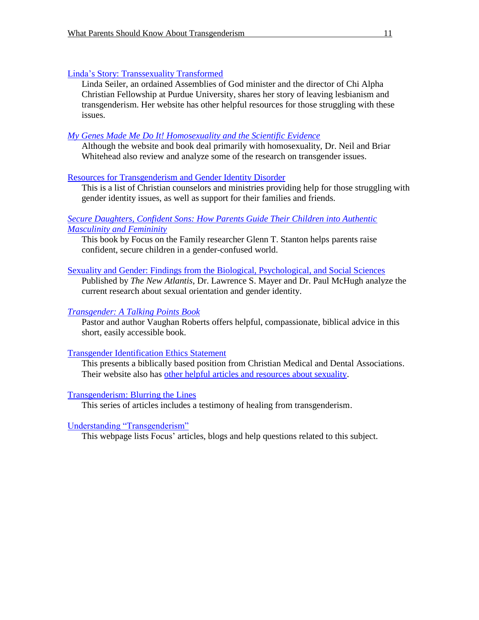#### [Linda's Story: Transsexuality Transformed](http://www.lindaseiler.com/lindas-story.html)

Linda Seiler, an ordained Assemblies of God minister and the director of Chi Alpha Christian Fellowship at Purdue University, shares her story of leaving lesbianism and transgenderism. Her website has other helpful resources for those struggling with these issues.

## *[My Genes Made Me Do It! Homosexuality and the Scientific Evidence](http://www.mygenes.co.nz/)*

Although the website and book deal primarily with homosexuality, Dr. Neil and Briar Whitehead also review and analyze some of the research on transgender issues.

### [Resources for Transgenderism and Gender Identity Disorder](http://www.focusonthefamily.com/socialissues/sexuality/transgenderism/resources-for-transgenderism-and-gender-identity-disorder)

This is a list of Christian counselors and ministries providing help for those struggling with gender identity issues, as well as support for their families and friends.

#### *[Secure Daughters, Confident Sons: How Parents Guide Their Children into Authentic](https://store.focusonthefamily.com/secure-daughters-confident-sons)  [Masculinity and Femininity](https://store.focusonthefamily.com/secure-daughters-confident-sons)*

This book by Focus on the Family researcher Glenn T. Stanton helps parents raise confident, secure children in a gender-confused world.

### [Sexuality and Gender: Findings from the Biological, Psychological, and Social Sciences](http://www.thenewatlantis.com/publications/number-50-fall-2016)

Published by *The New Atlantis*, Dr. Lawrence S. Mayer and Dr. Paul McHugh analyze the current research about sexual orientation and gender identity.

## *[Transgender: A Talking Points Book](https://store.focusonthefamily.com/talking-points-transgender)*

Pastor and author Vaughan Roberts offers helpful, compassionate, biblical advice in this short, easily accessible book.

#### [Transgender Identification Ethics Statement](https://cmda.org/resources/publication/transgender-identification-ethics-statement)

This presents a biblically based position from Christian Medical and Dental Associations. Their website also has [other helpful articles and resources about sexuality.](https://cmda.org/issues/detail/sexuality)

# [Transgenderism: Blurring the Lines](http://www.focusonthefamily.com/socialissues/citizen-magazine/transgenderism-blurring-the-lines/transgenderism-blurring-the-lines)

This series of articles includes a testimony of healing from transgenderism.

[Understanding "Transgenderism"](http://www.focusonthefamily.com/socialissues/sexuality/transgenderism/understanding-transgenderism)

This webpage lists Focus' articles, blogs and help questions related to this subject.